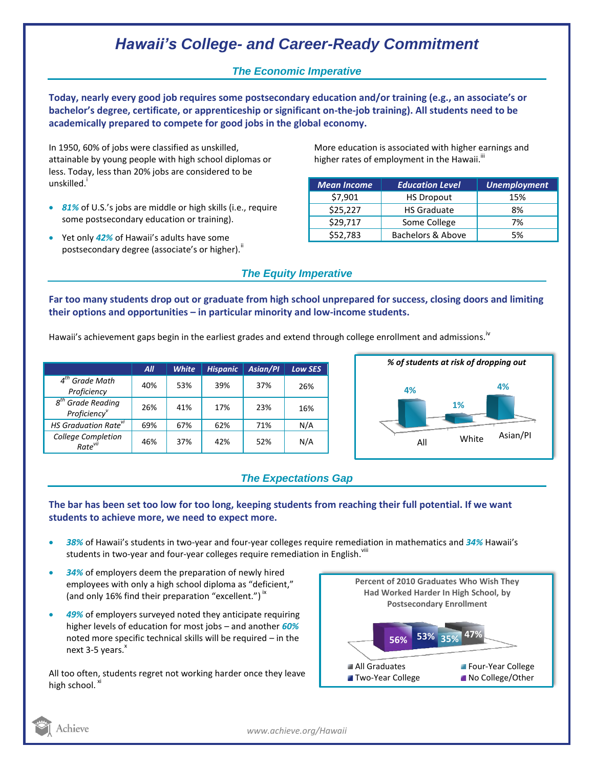# *Hawaii's College- and Career-Ready Commitment*

### *The Economic Imperative*

**Today, nearly every good job requires some postsecondary education and/or training (e.g., an associate's or bachelor's degree, certificate, or apprenticeship or significant on-the-job training). All students need to be academically prepared to compete for good jobs in the global economy.**

In 1950, 60% of jobs were classified as unskilled, attainable by young people with high school diplomas or less. Today, less than 20% jobs are considered to be unskilled.<sup>i</sup>

- *81%* of U.S.'s jobs are middle or high skills (i.e., require some postsecondary education or training).
- Yet only *42%* of Hawaii's adults have some postsecondary degree (associate's or higher).<sup>ii</sup>

More education is associated with higher earnings and higher rates of employment in the Hawaii. $^{\text{iii}}$ 

| <b>Mean Income</b> | <b>Education Level</b> | <b>Unemployment</b> |
|--------------------|------------------------|---------------------|
| \$7,901            | <b>HS Dropout</b>      | 15%                 |
| \$25,227           | <b>HS Graduate</b>     | 8%                  |
| \$29,717           | Some College           | 7%                  |
| \$52,783           | Bachelors & Above      | 5%                  |

### *The Equity Imperative*

**Far too many students drop out or graduate from high school unprepared for success, closing doors and limiting their options and opportunities – in particular minority and low-income students.** 

Hawaii's achievement gaps begin in the earliest grades and extend through college enrollment and admissions. <sup>iv</sup>

|                                                           | All | <b>White</b> | <b>Hispanic</b> | <b>Asian/Pl</b> | Low SES |
|-----------------------------------------------------------|-----|--------------|-----------------|-----------------|---------|
| $4th$ Grade Math<br>Proficiency                           | 40% | 53%          | 39%             | 37%             | 26%     |
| 8 <sup>th</sup> Grade Reading<br>Proficiency <sup>v</sup> | 26% | 41%          | 17%             | 23%             | 16%     |
| HS Graduation Rate <sup>vi</sup>                          | 69% | 67%          | 62%             | 71%             | N/A     |
| <b>College Completion</b><br>Rate <sup>vii</sup>          | 46% | 37%          | 42%             | 52%             | N/A     |



## *The Expectations Gap*

#### **The bar has been set too low for too long, keeping students from reaching their full potential. If we want students to achieve more, we need to expect more.**

- *38%* of Hawaii's students in two-year and four-year colleges require remediation in mathematics and *34%* Hawaii's students in two-year and four-year colleges require remediation in English.<sup>viii</sup>
- *34%* of employers deem the preparation of newly hired employees with only a high school diploma as "deficient," (and only 16% find their preparation "excellent.")<sup>ix</sup>
- *49%* of employers surveyed noted they anticipate requiring higher levels of education for most jobs – and another *60%* noted more specific technical skills will be required – in the next  $3-5$  years. $^{x}$

All too often, students regret not working harder once they leave high school. XI



*www.achieve.org/Hawaii*